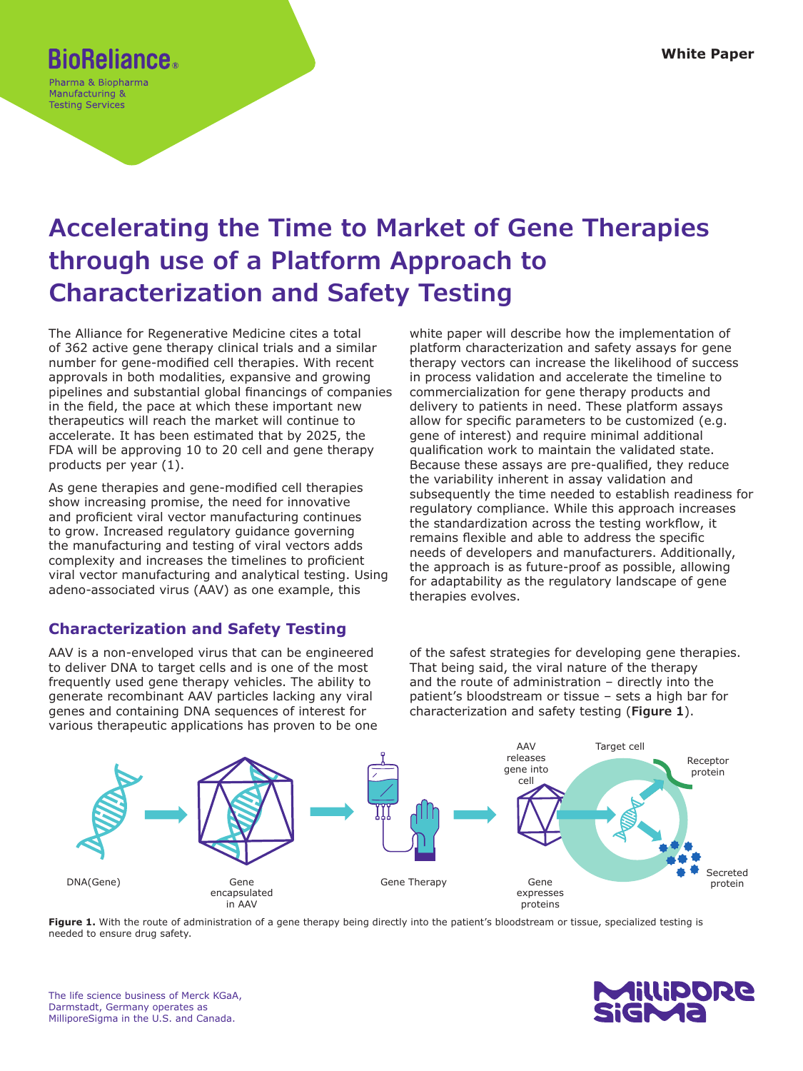# **BioReliance.**

Pharma & Biopharma Manufacturing & **Testing Services** 

## **Accelerating the Time to Market of Gene Therapies through use of a Platform Approach to Characterization and Safety Testing**

The Alliance for Regenerative Medicine cites a total of 362 active gene therapy clinical trials and a similar number for gene-modified cell therapies. With recent approvals in both modalities, expansive and growing pipelines and substantial global financings of companies in the field, the pace at which these important new therapeutics will reach the market will continue to accelerate. It has been estimated that by 2025, the FDA will be approving 10 to 20 cell and gene therapy products per year (1).

As gene therapies and gene-modified cell therapies show increasing promise, the need for innovative and proficient viral vector manufacturing continues to grow. Increased regulatory guidance governing the manufacturing and testing of viral vectors adds complexity and increases the timelines to proficient viral vector manufacturing and analytical testing. Using adeno-associated virus (AAV) as one example, this

## **Characterization and Safety Testing**

AAV is a non-enveloped virus that can be engineered to deliver DNA to target cells and is one of the most frequently used gene therapy vehicles. The ability to generate recombinant AAV particles lacking any viral genes and containing DNA sequences of interest for various therapeutic applications has proven to be one white paper will describe how the implementation of platform characterization and safety assays for gene therapy vectors can increase the likelihood of success in process validation and accelerate the timeline to commercialization for gene therapy products and delivery to patients in need. These platform assays allow for specific parameters to be customized (e.g. gene of interest) and require minimal additional qualification work to maintain the validated state. Because these assays are pre-qualified, they reduce the variability inherent in assay validation and subsequently the time needed to establish readiness for regulatory compliance. While this approach increases the standardization across the testing workflow, it remains flexible and able to address the specific needs of developers and manufacturers. Additionally, the approach is as future-proof as possible, allowing for adaptability as the regulatory landscape of gene therapies evolves.

of the safest strategies for developing gene therapies. That being said, the viral nature of the therapy and the route of administration – directly into the patient's bloodstream or tissue – sets a high bar for characterization and safety testing (**Figure 1**).



Figure 1. With the route of administration of a gene therapy being directly into the patient's bloodstream or tissue, specialized testing is needed to ensure drug safety.

The life science business of Merck KGaA, Darmstadt, Germany operates as MilliporeSigma in the U.S. and Canada.

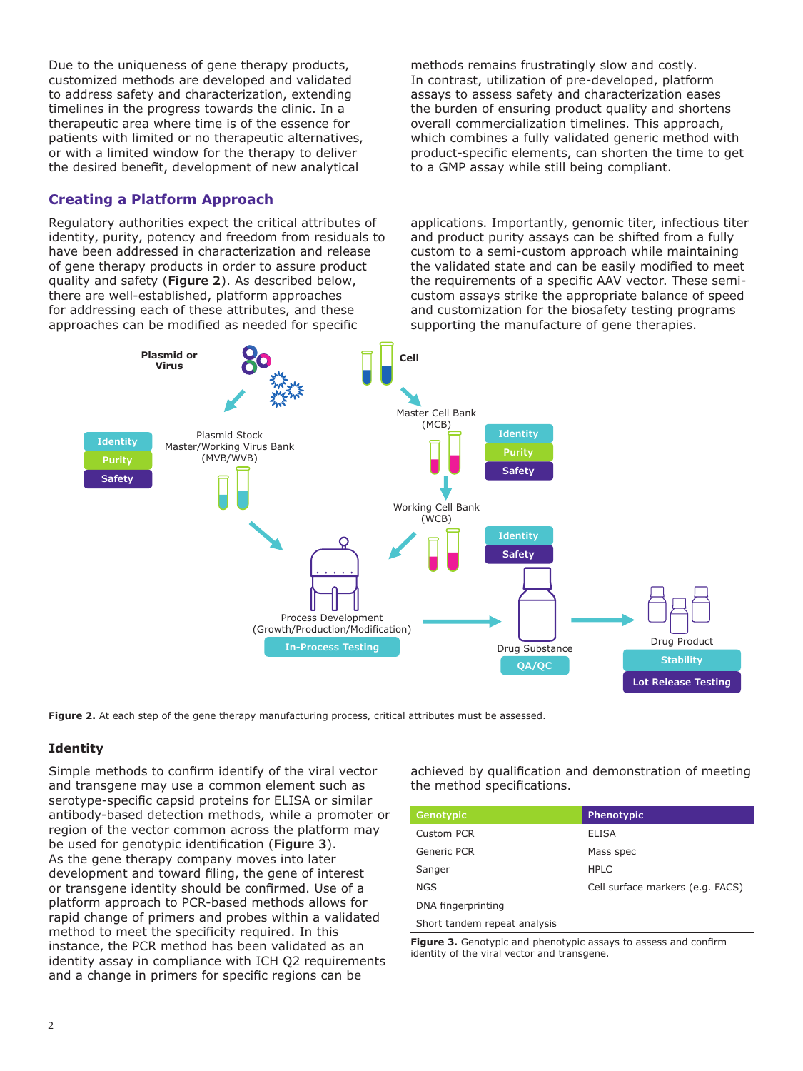Due to the uniqueness of gene therapy products, customized methods are developed and validated to address safety and characterization, extending timelines in the progress towards the clinic. In a therapeutic area where time is of the essence for patients with limited or no therapeutic alternatives, or with a limited window for the therapy to deliver the desired benefit, development of new analytical

#### **Creating a Platform Approach**

Regulatory authorities expect the critical attributes of identity, purity, potency and freedom from residuals to have been addressed in characterization and release of gene therapy products in order to assure product quality and safety (**Figure 2**). As described below, there are well-established, platform approaches for addressing each of these attributes, and these approaches can be modified as needed for specific

methods remains frustratingly slow and costly. In contrast, utilization of pre-developed, platform assays to assess safety and characterization eases the burden of ensuring product quality and shortens overall commercialization timelines. This approach, which combines a fully validated generic method with product-specific elements, can shorten the time to get to a GMP assay while still being compliant.

applications. Importantly, genomic titer, infectious titer and product purity assays can be shifted from a fully custom to a semi-custom approach while maintaining the validated state and can be easily modified to meet the requirements of a specific AAV vector. These semicustom assays strike the appropriate balance of speed and customization for the biosafety testing programs supporting the manufacture of gene therapies.



Figure 2. At each step of the gene therapy manufacturing process, critical attributes must be assessed.

#### **Identity**

Simple methods to confirm identify of the viral vector and transgene may use a common element such as serotype-specific capsid proteins for ELISA or similar antibody-based detection methods, while a promoter or region of the vector common across the platform may be used for genotypic identification (**Figure 3**). As the gene therapy company moves into later development and toward filing, the gene of interest or transgene identity should be confirmed. Use of a platform approach to PCR-based methods allows for rapid change of primers and probes within a validated method to meet the specificity required. In this instance, the PCR method has been validated as an identity assay in compliance with ICH Q2 requirements and a change in primers for specific regions can be

achieved by qualification and demonstration of meeting the method specifications.

| Genotypic                    | <b>Phenotypic</b>                |
|------------------------------|----------------------------------|
| Custom PCR                   | <b>ELISA</b>                     |
| Generic PCR                  | Mass spec                        |
| Sanger                       | <b>HPLC</b>                      |
| <b>NGS</b>                   | Cell surface markers (e.g. FACS) |
| DNA fingerprinting           |                                  |
| Short tandem repeat analysis |                                  |

**Figure 3.** Genotypic and phenotypic assays to assess and confirm identity of the viral vector and transgene.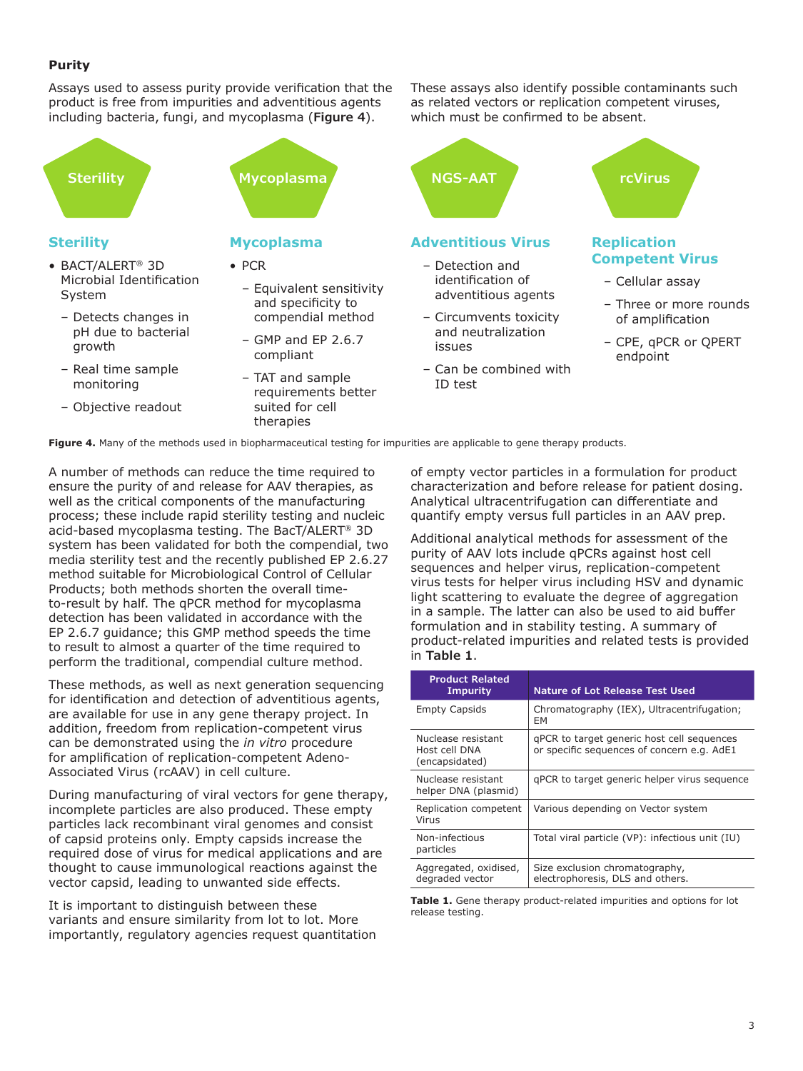#### **Purity**

Assays used to assess purity provide verification that the product is free from impurities and adventitious agents including bacteria, fungi, and mycoplasma (**Figure 4**).

# **Sterility**

- BACT/ALERT® 3D Microbial Identification System
	- Detects changes in pH due to bacterial growth
	- Real time sample monitoring
	- Objective readout

### **Mycoplasma**

- PCR
	- Equivalent sensitivity and specificity to compendial method
	- GMP and EP 2.6.7 compliant
- TAT and sample requirements better suited for cell therapies

These assays also identify possible contaminants such as related vectors or replication competent viruses, which must be confirmed to be absent.



adventitious agents – Circumvents toxicity and neutralization

– Can be combined with

issues

ID test

- Cellular assay
- Three or more rounds of amplification
- CPE, qPCR or QPERT endpoint

**Figure 4.** Many of the methods used in biopharmaceutical testing for impurities are applicable to gene therapy products.

A number of methods can reduce the time required to ensure the purity of and release for AAV therapies, as well as the critical components of the manufacturing process; these include rapid sterility testing and nucleic acid-based mycoplasma testing. The BacT/ALERT® 3D system has been validated for both the compendial, two media sterility test and the recently published EP 2.6.27 method suitable for Microbiological Control of Cellular Products; both methods shorten the overall timeto-result by half. The qPCR method for mycoplasma detection has been validated in accordance with the EP 2.6.7 guidance; this GMP method speeds the time to result to almost a quarter of the time required to perform the traditional, compendial culture method.

These methods, as well as next generation sequencing for identification and detection of adventitious agents, are available for use in any gene therapy project. In addition, freedom from replication-competent virus can be demonstrated using the *in vitro* procedure for amplification of replication-competent Adeno-Associated Virus (rcAAV) in cell culture.

During manufacturing of viral vectors for gene therapy, incomplete particles are also produced. These empty particles lack recombinant viral genomes and consist of capsid proteins only. Empty capsids increase the required dose of virus for medical applications and are thought to cause immunological reactions against the vector capsid, leading to unwanted side effects.

It is important to distinguish between these variants and ensure similarity from lot to lot. More importantly, regulatory agencies request quantitation of empty vector particles in a formulation for product characterization and before release for patient dosing. Analytical ultracentrifugation can differentiate and quantify empty versus full particles in an AAV prep.

Additional analytical methods for assessment of the purity of AAV lots include qPCRs against host cell sequences and helper virus, replication-competent virus tests for helper virus including HSV and dynamic light scattering to evaluate the degree of aggregation in a sample. The latter can also be used to aid buffer formulation and in stability testing. A summary of product-related impurities and related tests is provided in **Table 1**.

| <b>Product Related</b><br><b>Impurity</b>             | Nature of Lot Release Test Used                                                          |
|-------------------------------------------------------|------------------------------------------------------------------------------------------|
| <b>Empty Capsids</b>                                  | Chromatography (IEX), Ultracentrifugation;<br>EМ                                         |
| Nuclease resistant<br>Host cell DNA<br>(encapsidated) | gPCR to target generic host cell sequences<br>or specific sequences of concern e.g. AdE1 |
| Nuclease resistant<br>helper DNA (plasmid)            | gPCR to target generic helper virus sequence                                             |
| Replication competent<br>Virus                        | Various depending on Vector system                                                       |
| Non-infectious<br>particles                           | Total viral particle (VP): infectious unit (IU)                                          |
| Aggregated, oxidised,<br>degraded vector              | Size exclusion chromatography,<br>electrophoresis, DLS and others.                       |

**Table 1.** Gene therapy product-related impurities and options for lot release testing.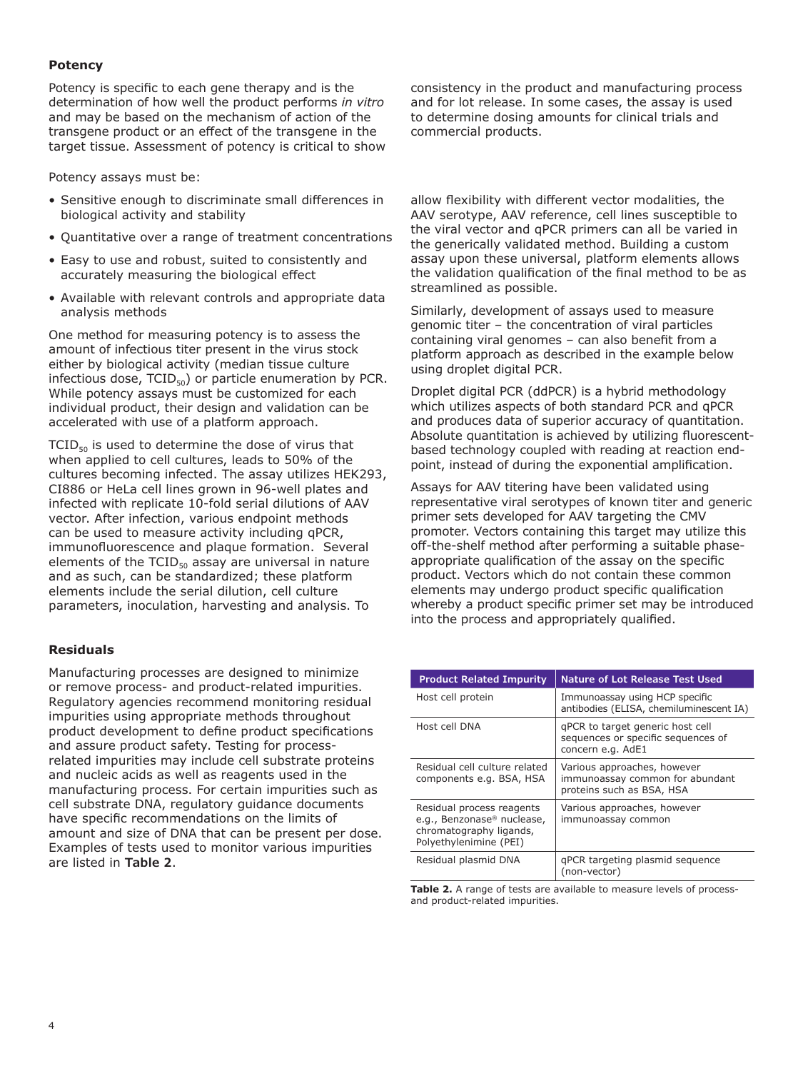#### **Potency**

Potency is specific to each gene therapy and is the determination of how well the product performs *in vitro* and may be based on the mechanism of action of the transgene product or an effect of the transgene in the target tissue. Assessment of potency is critical to show

Potency assays must be:

- Sensitive enough to discriminate small differences in biological activity and stability
- Quantitative over a range of treatment concentrations
- Easy to use and robust, suited to consistently and accurately measuring the biological effect
- Available with relevant controls and appropriate data analysis methods

One method for measuring potency is to assess the amount of infectious titer present in the virus stock either by biological activity (median tissue culture infectious dose,  $TCID_{50}$ ) or particle enumeration by PCR. While potency assays must be customized for each individual product, their design and validation can be accelerated with use of a platform approach.

 $TCID_{50}$  is used to determine the dose of virus that when applied to cell cultures, leads to 50% of the cultures becoming infected. The assay utilizes HEK293, CI886 or HeLa cell lines grown in 96-well plates and infected with replicate 10-fold serial dilutions of AAV vector. After infection, various endpoint methods can be used to measure activity including qPCR, immunofluorescence and plaque formation. Several elements of the  $TCID_{50}$  assay are universal in nature and as such, can be standardized; these platform elements include the serial dilution, cell culture parameters, inoculation, harvesting and analysis. To

#### **Residuals**

Manufacturing processes are designed to minimize or remove process- and product-related impurities. Regulatory agencies recommend monitoring residual impurities using appropriate methods throughout product development to define product specifications and assure product safety. Testing for processrelated impurities may include cell substrate proteins and nucleic acids as well as reagents used in the manufacturing process. For certain impurities such as cell substrate DNA, regulatory guidance documents have specific recommendations on the limits of amount and size of DNA that can be present per dose. Examples of tests used to monitor various impurities are listed in **Table 2**.

consistency in the product and manufacturing process and for lot release. In some cases, the assay is used to determine dosing amounts for clinical trials and commercial products.

allow flexibility with different vector modalities, the AAV serotype, AAV reference, cell lines susceptible to the viral vector and qPCR primers can all be varied in the generically validated method. Building a custom assay upon these universal, platform elements allows the validation qualification of the final method to be as streamlined as possible.

Similarly, development of assays used to measure genomic titer – the concentration of viral particles containing viral genomes – can also benefit from a platform approach as described in the example below using droplet digital PCR.

Droplet digital PCR (ddPCR) is a hybrid methodology which utilizes aspects of both standard PCR and qPCR and produces data of superior accuracy of quantitation. Absolute quantitation is achieved by utilizing fluorescentbased technology coupled with reading at reaction endpoint, instead of during the exponential amplification.

Assays for AAV titering have been validated using representative viral serotypes of known titer and generic primer sets developed for AAV targeting the CMV promoter. Vectors containing this target may utilize this off-the-shelf method after performing a suitable phaseappropriate qualification of the assay on the specific product. Vectors which do not contain these common elements may undergo product specific qualification whereby a product specific primer set may be introduced into the process and appropriately qualified.

| <b>Product Related Impurity</b>                                                                                          | <b>Nature of Lot Release Test Used</b>                                                      |
|--------------------------------------------------------------------------------------------------------------------------|---------------------------------------------------------------------------------------------|
| Host cell protein                                                                                                        | Immunoassay using HCP specific<br>antibodies (ELISA, chemiluminescent IA)                   |
| Host cell DNA                                                                                                            | gPCR to target generic host cell<br>sequences or specific sequences of<br>concern e.g. AdE1 |
| Residual cell culture related<br>components e.g. BSA, HSA                                                                | Various approaches, however<br>immunoassay common for abundant<br>proteins such as BSA, HSA |
| Residual process reagents<br>e.g., Benzonase <sup>®</sup> nuclease,<br>chromatography ligands,<br>Polvethylenimine (PEI) | Various approaches, however<br>immunoassay common                                           |
| Residual plasmid DNA                                                                                                     | gPCR targeting plasmid sequence<br>(non-vector)                                             |

**Table 2.** A range of tests are available to measure levels of processand product-related impurities.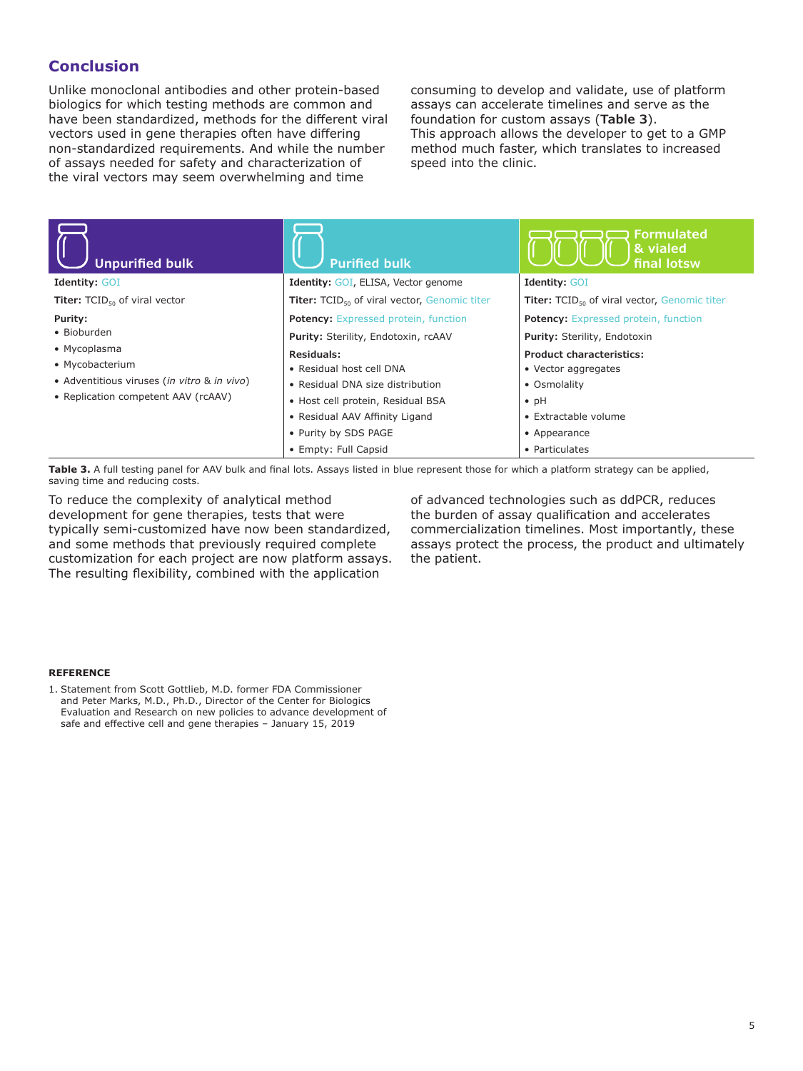### **Conclusion**

Unlike monoclonal antibodies and other protein-based biologics for which testing methods are common and have been standardized, methods for the different viral vectors used in gene therapies often have differing non-standardized requirements. And while the number of assays needed for safety and characterization of the viral vectors may seem overwhelming and time

consuming to develop and validate, use of platform assays can accelerate timelines and serve as the foundation for custom assays (**Table 3**). This approach allows the developer to get to a GMP method much faster, which translates to increased speed into the clinic.

| <b>Unpurified bulk</b>                                                                                                | <b>Purified bulk</b>                                                                                                                                                                              | <b>Formulated</b><br>& vialed<br>final lotsw                                                                                                     |
|-----------------------------------------------------------------------------------------------------------------------|---------------------------------------------------------------------------------------------------------------------------------------------------------------------------------------------------|--------------------------------------------------------------------------------------------------------------------------------------------------|
| <b>Identity: GOI</b>                                                                                                  | <b>Identity: GOI, ELISA, Vector genome</b>                                                                                                                                                        | <b>Identity: GOI</b>                                                                                                                             |
| <b>Titer:</b> $TCID_{50}$ of viral vector                                                                             | Titer: TCID <sub>50</sub> of viral vector, Genomic titer                                                                                                                                          | Titer: TCID <sub>50</sub> of viral vector, Genomic titer                                                                                         |
| Purity:                                                                                                               | Potency: Expressed protein, function                                                                                                                                                              | <b>Potency:</b> Expressed protein, function                                                                                                      |
| • Bioburden                                                                                                           | Purity: Sterility, Endotoxin, rcAAV                                                                                                                                                               | Purity: Sterility, Endotoxin                                                                                                                     |
| • Mycoplasma<br>• Mycobacterium<br>• Adventitious viruses (in vitro & in vivo)<br>• Replication competent AAV (rcAAV) | Residuals:<br>• Residual host cell DNA<br>• Residual DNA size distribution<br>• Host cell protein, Residual BSA<br>• Residual AAV Affinity Ligand<br>• Purity by SDS PAGE<br>• Empty: Full Capsid | <b>Product characteristics:</b><br>• Vector aggregates<br>• Osmolality<br>$\bullet$ pH<br>• Extractable volume<br>• Appearance<br>• Particulates |

Table 3. A full testing panel for AAV bulk and final lots. Assays listed in blue represent those for which a platform strategy can be applied, saving time and reducing costs.

To reduce the complexity of analytical method development for gene therapies, tests that were typically semi-customized have now been standardized, and some methods that previously required complete customization for each project are now platform assays. The resulting flexibility, combined with the application

of advanced technologies such as ddPCR, reduces the burden of assay qualification and accelerates commercialization timelines. Most importantly, these assays protect the process, the product and ultimately the patient.

#### **REFERENCE**

1. Statement from Scott Gottlieb, M.D. former FDA Commissioner and Peter Marks, M.D., Ph.D., Director of the Center for Biologics Evaluation and Research on new policies to advance development of safe and effective cell and gene therapies – January 15, 2019